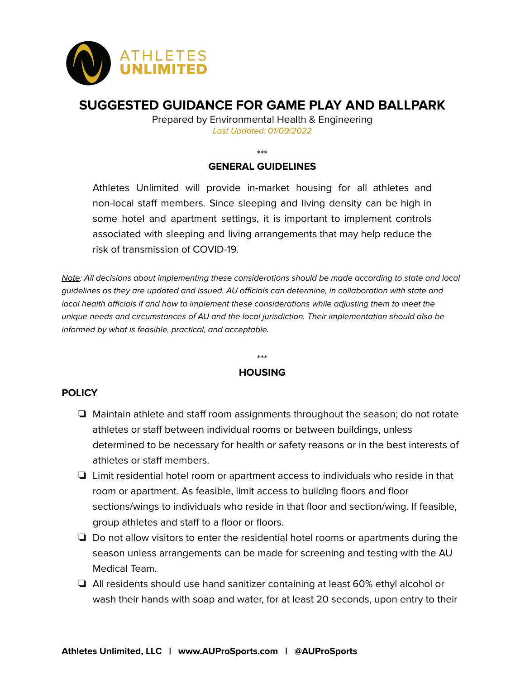

# **SUGGESTED GUIDANCE FOR GAME PLAY AND BALLPARK**

Prepared by Environmental Health & Engineering Last Updated: 01/09/2022

\*\*\*

# **GENERAL GUIDELINES**

Athletes Unlimited will provide in-market housing for all athletes and non-local staff members. Since sleeping and living density can be high in some hotel and apartment settings, it is important to implement controls associated with sleeping and living arrangements that may help reduce the risk of transmission of COVID-19.

Note: All decisions about implementing these considerations should be made according to state and local guidelines as they are updated and issued. AU officials can determine, in collaboration with state and local health officials if and how to implement these considerations while adjusting them to meet the unique needs and circumstances of AU and the local jurisdiction. Their implementation should also be informed by what is feasible, practical, and acceptable.

## \*\*\* **HOUSING**

#### **POLICY**

- ❏ Maintain athlete and staff room assignments throughout the season; do not rotate athletes or staff between individual rooms or between buildings, unless determined to be necessary for health or safety reasons or in the best interests of athletes or staff members.
- ❏ Limit residential hotel room or apartment access to individuals who reside in that room or apartment. As feasible, limit access to building floors and floor sections/wings to individuals who reside in that floor and section/wing. If feasible, group athletes and staff to a floor or floors.
- ❏ Do not allow visitors to enter the residential hotel rooms or apartments during the season unless arrangements can be made for screening and testing with the AU Medical Team.
- ❏ All residents should use hand sanitizer containing at least 60% ethyl alcohol or wash their hands with soap and water, for at least 20 seconds, upon entry to their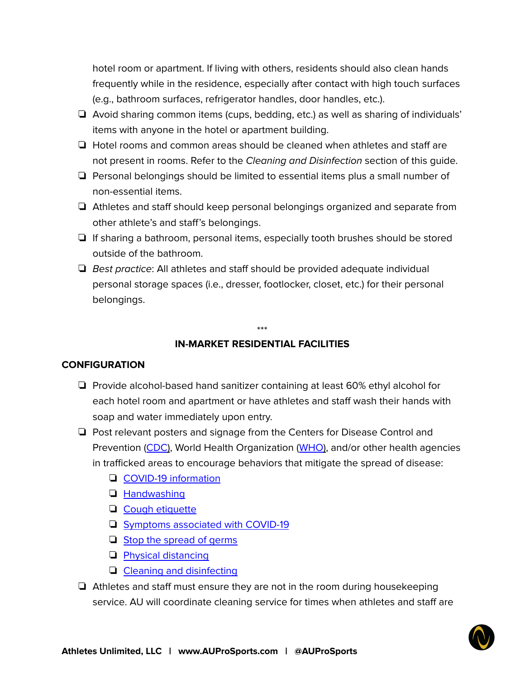hotel room or apartment. If living with others, residents should also clean hands frequently while in the residence, especially after contact with high touch surfaces (e.g., bathroom surfaces, refrigerator handles, door handles, etc.).

- ❏ Avoid sharing common items (cups, bedding, etc.) as well as sharing of individuals' items with anyone in the hotel or apartment building.
- ❏ Hotel rooms and common areas should be cleaned when athletes and staff are not present in rooms. Refer to the Cleaning and Disinfection section of this quide.
- ❏ Personal belongings should be limited to essential items plus a small number of non-essential items.
- ❏ Athletes and staff should keep personal belongings organized and separate from other athlete's and staff's belongings.
- ❏ If sharing a bathroom, personal items, especially tooth brushes should be stored outside of the bathroom.
- ❏ Best practice: All athletes and staff should be provided adequate individual personal storage spaces (i.e., dresser, footlocker, closet, etc.) for their personal belongings.

# \*\*\* **IN-MARKET RESIDENTIAL FACILITIES**

#### **CONFIGURATION**

- ❏ Provide alcohol-based hand sanitizer containing at least 60% ethyl alcohol for each hotel room and apartment or have athletes and staff wash their hands with soap and water immediately upon entry.
- ❏ Post relevant posters and signage from the Centers for Disease Control and Prevention ([CDC](https://www.cdc.gov/coronavirus/2019-ncov/communication/graphics.html)), World Health Organization ([WHO](https://www.who.int/emergencies/diseases/novel-coronavirus-2019/advice-for-public)), and/or other health agencies in trafficked areas to encourage behaviors that mitigate the spread of disease:
	- ❏ COVID-19 [information](https://www.cdc.gov/coronavirus/2019-ncov/downloads/2019-ncov-factsheet.pdf)
	- ❏ [Handwashing](https://www.cdc.gov/handwashing/posters.html)
	- ❏ Cough [etiquette](https://www.cdc.gov/flu/pdf/protect/cdc_cough.pdf)
	- ❏ Symptoms [associated](https://www.cdc.gov/coronavirus/2019-ncov/downloads/COVID19-symptoms.pdf) with COVID-19
	- ❏ Stop the [spread](https://www.cdc.gov/coronavirus/2019-ncov/downloads/stop-the-spread-of-germs.pdf) of germs
	- ❏ Physical [distancing](https://www.healthvermont.gov/sites/default/files/documents/pdf/COVID-social-distancing-poster-ltr.pdf)
	- ❏ Cleaning and [disinfecting](https://www.cdc.gov/coronavirus/2019-ncov/community/disinfecting-building-facility-H.pdf)
- ❏ Athletes and staff must ensure they are not in the room during housekeeping service. AU will coordinate cleaning service for times when athletes and staff are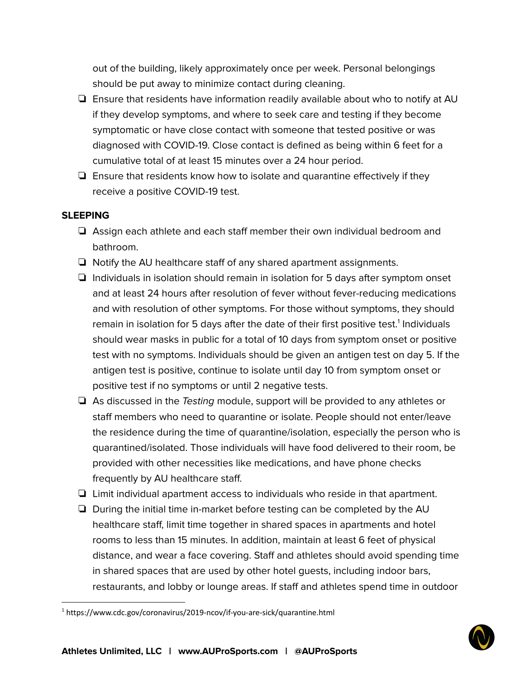out of the building, likely approximately once per week. Personal belongings should be put away to minimize contact during cleaning.

- ❏ Ensure that residents have information readily available about who to notify at AU if they develop symptoms, and where to seek care and testing if they become symptomatic or have close contact with someone that tested positive or was diagnosed with COVID-19. Close contact is defined as being within 6 feet for a cumulative total of at least 15 minutes over a 24 hour period.
- ❏ Ensure that residents know how to isolate and quarantine effectively if they receive a positive COVID-19 test.

#### **SLEEPING**

- ❏ Assign each athlete and each staff member their own individual bedroom and bathroom.
- ❏ Notify the AU healthcare staff of any shared apartment assignments.
- ❏ Individuals in isolation should remain in isolation for 5 days after symptom onset and at least 24 hours after resolution of fever without fever-reducing medications and with resolution of other symptoms. For those without symptoms, they should remain in isolation for 5 days after the date of their first positive test.<sup>1</sup> Individuals should wear masks in public for a total of 10 days from symptom onset or positive test with no symptoms. Individuals should be given an antigen test on day 5. If the antigen test is positive, continue to isolate until day 10 from symptom onset or positive test if no symptoms or until 2 negative tests.
- ❏ As discussed in the Testing module, support will be provided to any athletes or staff members who need to quarantine or isolate. People should not enter/leave the residence during the time of quarantine/isolation, especially the person who is quarantined/isolated. Those individuals will have food delivered to their room, be provided with other necessities like medications, and have phone checks frequently by AU healthcare staff.
- ❏ Limit individual apartment access to individuals who reside in that apartment.
- ❏ During the initial time in-market before testing can be completed by the AU healthcare staff, limit time together in shared spaces in apartments and hotel rooms to less than 15 minutes. In addition, maintain at least 6 feet of physical distance, and wear a face covering. Staff and athletes should avoid spending time in shared spaces that are used by other hotel guests, including indoor bars, restaurants, and lobby or lounge areas. If staff and athletes spend time in outdoor

<sup>&</sup>lt;sup>1</sup> https://www.cdc.gov/coronavirus/2019-ncov/if-you-are-sick/quarantine.html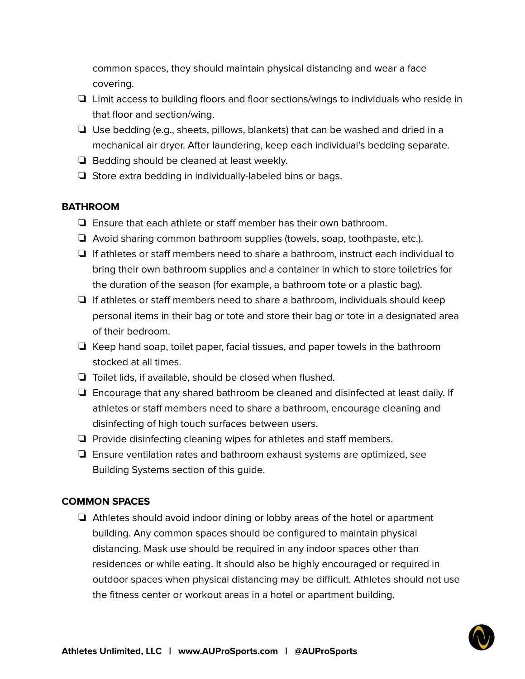common spaces, they should maintain physical distancing and wear a face covering.

- ❏ Limit access to building floors and floor sections/wings to individuals who reside in that floor and section/wing.
- ❏ Use bedding (e.g., sheets, pillows, blankets) that can be washed and dried in a mechanical air dryer. After laundering, keep each individual's bedding separate.
- ❏ Bedding should be cleaned at least weekly.
- ❏ Store extra bedding in individually-labeled bins or bags.

## **BATHROOM**

- ❏ Ensure that each athlete or staff member has their own bathroom.
- ❏ Avoid sharing common bathroom supplies (towels, soap, toothpaste, etc.).
- ❏ If athletes or staff members need to share a bathroom, instruct each individual to bring their own bathroom supplies and a container in which to store toiletries for the duration of the season (for example, a bathroom tote or a plastic bag).
- ❏ If athletes or staff members need to share a bathroom, individuals should keep personal items in their bag or tote and store their bag or tote in a designated area of their bedroom.
- ❏ Keep hand soap, toilet paper, facial tissues, and paper towels in the bathroom stocked at all times.
- ❏ Toilet lids, if available, should be closed when flushed.
- ❏ Encourage that any shared bathroom be cleaned and disinfected at least daily. If athletes or staff members need to share a bathroom, encourage cleaning and disinfecting of high touch surfaces between users.
- ❏ Provide disinfecting cleaning wipes for athletes and staff members.
- ❏ Ensure ventilation rates and bathroom exhaust systems are optimized, see Building Systems section of this guide.

## **COMMON SPACES**

❏ Athletes should avoid indoor dining or lobby areas of the hotel or apartment building. Any common spaces should be configured to maintain physical distancing. Mask use should be required in any indoor spaces other than residences or while eating. It should also be highly encouraged or required in outdoor spaces when physical distancing may be difficult. Athletes should not use the fitness center or workout areas in a hotel or apartment building.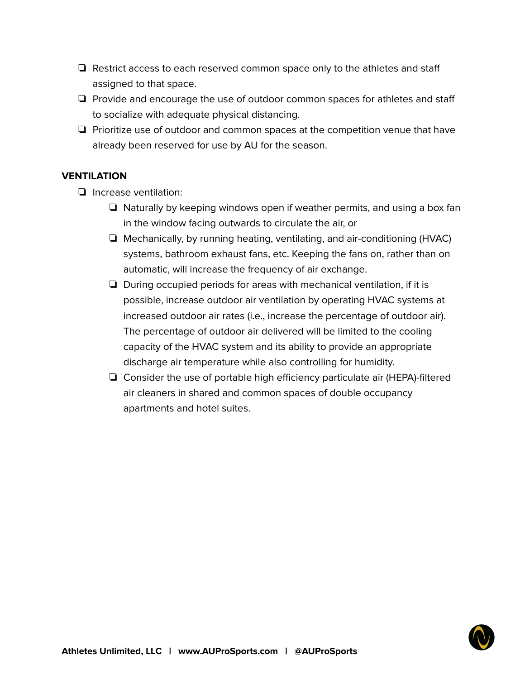- ❏ Restrict access to each reserved common space only to the athletes and staff assigned to that space.
- ❏ Provide and encourage the use of outdoor common spaces for athletes and staff to socialize with adequate physical distancing.
- ❏ Prioritize use of outdoor and common spaces at the competition venue that have already been reserved for use by AU for the season.

# **VENTILATION**

- ❏ Increase ventilation:
	- ❏ Naturally by keeping windows open if weather permits, and using a box fan in the window facing outwards to circulate the air, or
	- ❏ Mechanically, by running heating, ventilating, and air-conditioning (HVAC) systems, bathroom exhaust fans, etc. Keeping the fans on, rather than on automatic, will increase the frequency of air exchange.
	- ❏ During occupied periods for areas with mechanical ventilation, if it is possible, increase outdoor air ventilation by operating HVAC systems at increased outdoor air rates (i.e., increase the percentage of outdoor air). The percentage of outdoor air delivered will be limited to the cooling capacity of the HVAC system and its ability to provide an appropriate discharge air temperature while also controlling for humidity.
	- ❏ Consider the use of portable high efficiency particulate air (HEPA)-filtered air cleaners in shared and common spaces of double occupancy apartments and hotel suites.